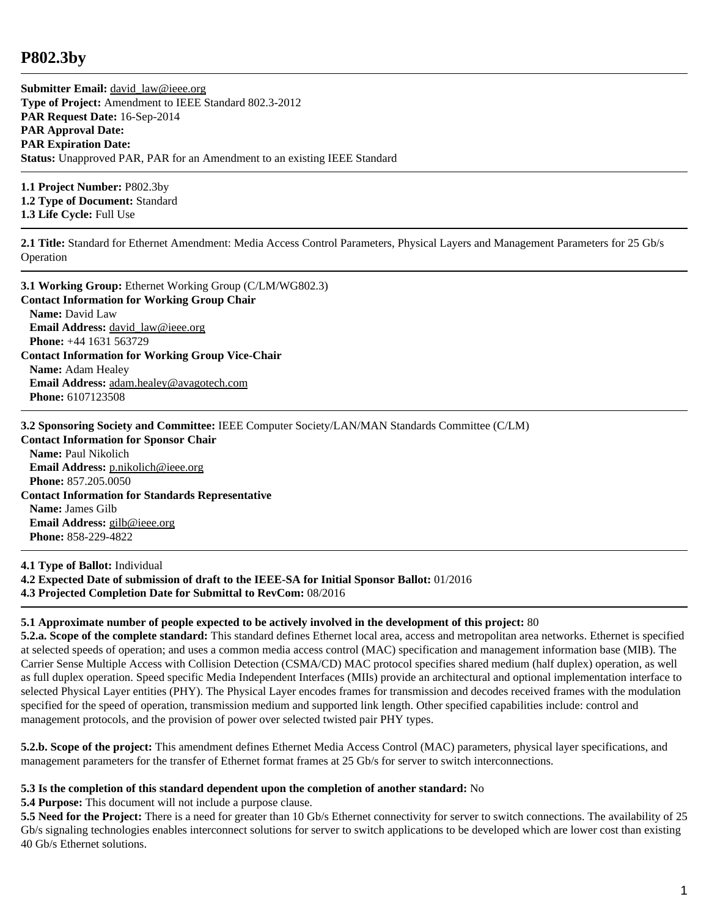## **P802.3by**

**Submitter Email:** david law@ieee.org **Type of Project:** Amendment to IEEE Standard 802.3-2012 **PAR Request Date:** 16-Sep-2014 **PAR Approval Date: PAR Expiration Date: Status:** Unapproved PAR, PAR for an Amendment to an existing IEEE Standard

**1.1 Project Number:** P802.3by **1.2 Type of Document:** Standard **1.3 Life Cycle:** Full Use

**2.1 Title:** Standard for Ethernet Amendment: Media Access Control Parameters, Physical Layers and Management Parameters for 25 Gb/s Operation

**3.1 Working Group:** Ethernet Working Group (C/LM/WG802.3) **Contact Information for Working Group Chair Name:** David Law **Email Address:** david law@ieee.org **Phone:** +44 1631 563729 **Contact Information for Working Group Vice-Chair Name:** Adam Healey **Email Address:** [adam.healey@avagotech.com](mailto:adam.healey%40avagotech.com) **Phone:** 6107123508

**3.2 Sponsoring Society and Committee:** IEEE Computer Society/LAN/MAN Standards Committee (C/LM)

**Contact Information for Sponsor Chair Name:** Paul Nikolich **Email Address:** [p.nikolich@ieee.org](mailto:p.nikolich%40ieee.org) **Phone:** 857.205.0050 **Contact Information for Standards Representative Name:** James Gilb **Email Address:** [gilb@ieee.org](mailto:gilb%40ieee.org) **Phone:** 858-229-4822

**4.1 Type of Ballot:** Individual **4.2 Expected Date of submission of draft to the IEEE-SA for Initial Sponsor Ballot:** 01/2016 **4.3 Projected Completion Date for Submittal to RevCom:** 08/2016

## **5.1 Approximate number of people expected to be actively involved in the development of this project:** 80

**5.2.a. Scope of the complete standard:** This standard defines Ethernet local area, access and metropolitan area networks. Ethernet is specified at selected speeds of operation; and uses a common media access control (MAC) specification and management information base (MIB). The Carrier Sense Multiple Access with Collision Detection (CSMA/CD) MAC protocol specifies shared medium (half duplex) operation, as well as full duplex operation. Speed specific Media Independent Interfaces (MIIs) provide an architectural and optional implementation interface to selected Physical Layer entities (PHY). The Physical Layer encodes frames for transmission and decodes received frames with the modulation specified for the speed of operation, transmission medium and supported link length. Other specified capabilities include: control and management protocols, and the provision of power over selected twisted pair PHY types.

**5.2.b. Scope of the project:** This amendment defines Ethernet Media Access Control (MAC) parameters, physical layer specifications, and management parameters for the transfer of Ethernet format frames at 25 Gb/s for server to switch interconnections.

## **5.3 Is the completion of this standard dependent upon the completion of another standard:** No

**5.4 Purpose:** This document will not include a purpose clause.

**5.5 Need for the Project:** There is a need for greater than 10 Gb/s Ethernet connectivity for server to switch connections. The availability of 25 Gb/s signaling technologies enables interconnect solutions for server to switch applications to be developed which are lower cost than existing 40 Gb/s Ethernet solutions.